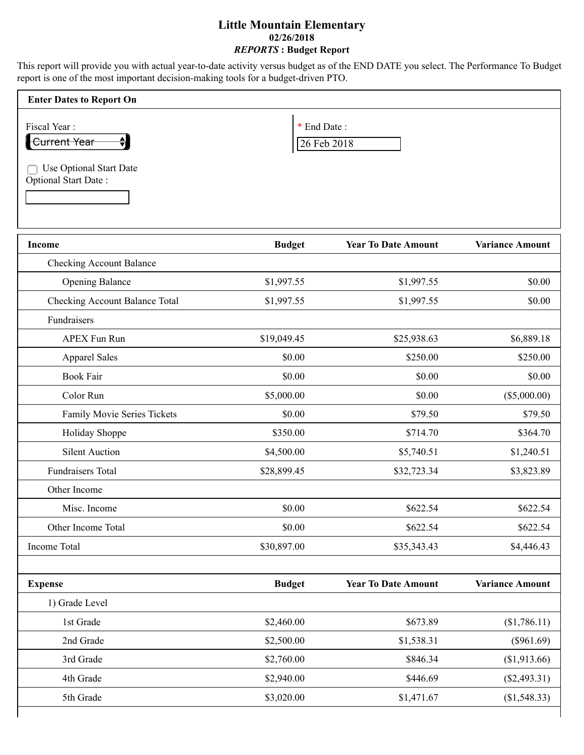## **Little Mountain Elementary 02/26/2018** *REPORTS* **: Budget Report**

This report will provide you with actual year-to-date activity versus budget as of the END DATE you select. The Performance To Budget report is one of the most important decision-making tools for a budget-driven PTO.

| <b>Enter Dates to Report On</b>                               |                            |
|---------------------------------------------------------------|----------------------------|
| Fiscal Year:<br>Current Year                                  | * End Date:<br>26 Feb 2018 |
| <b>Use Optional Start Date</b><br><b>Optional Start Date:</b> |                            |

| <b>Income</b>                         | <b>Budget</b> | <b>Year To Date Amount</b> | <b>Variance Amount</b> |
|---------------------------------------|---------------|----------------------------|------------------------|
| <b>Checking Account Balance</b>       |               |                            |                        |
| <b>Opening Balance</b>                | \$1,997.55    | \$1,997.55                 | \$0.00                 |
| <b>Checking Account Balance Total</b> | \$1,997.55    | \$1,997.55                 | \$0.00                 |
| Fundraisers                           |               |                            |                        |
| <b>APEX Fun Run</b>                   | \$19,049.45   | \$25,938.63                | \$6,889.18             |
| <b>Apparel Sales</b>                  | \$0.00        | \$250.00                   | \$250.00               |
| <b>Book Fair</b>                      | \$0.00        | \$0.00                     | \$0.00                 |
| Color Run                             | \$5,000.00    | \$0.00                     | (\$5,000.00)           |
| Family Movie Series Tickets           | \$0.00        | \$79.50                    | \$79.50                |
| Holiday Shoppe                        | \$350.00      | \$714.70                   | \$364.70               |
| <b>Silent Auction</b>                 | \$4,500.00    | \$5,740.51                 | \$1,240.51             |
| <b>Fundraisers Total</b>              | \$28,899.45   | \$32,723.34                | \$3,823.89             |
| Other Income                          |               |                            |                        |
| Misc. Income                          | \$0.00        | \$622.54                   | \$622.54               |
| Other Income Total                    | \$0.00        | \$622.54                   | \$622.54               |
| Income Total                          | \$30,897.00   | \$35,343.43                | \$4,446.43             |
| <b>Expense</b>                        | <b>Budget</b> | <b>Year To Date Amount</b> | <b>Variance Amount</b> |
| 1) Grade Level                        |               |                            |                        |
| 1st Grade                             | \$2,460.00    | \$673.89                   | (\$1,786.11)           |
| 2nd Grade                             | \$2,500.00    | \$1,538.31                 | $(\$961.69)$           |
| 3rd Grade                             | \$2,760.00    | \$846.34                   | (\$1,913.66)           |
| 4th Grade                             | \$2,940.00    | \$446.69                   | $(\$2,493.31)$         |
| 5th Grade                             | \$3,020.00    | \$1,471.67                 | (\$1,548.33)           |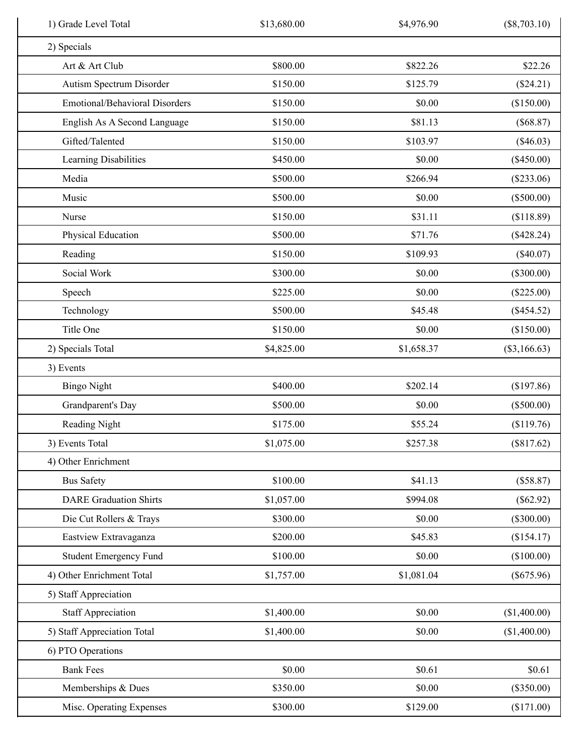| 1) Grade Level Total                  | \$13,680.00 | \$4,976.90 | $(\$8,703.10)$ |
|---------------------------------------|-------------|------------|----------------|
| 2) Specials                           |             |            |                |
| Art & Art Club                        | \$800.00    | \$822.26   | \$22.26        |
| Autism Spectrum Disorder              | \$150.00    | \$125.79   | (\$24.21)      |
| <b>Emotional/Behavioral Disorders</b> | \$150.00    | \$0.00     | (\$150.00)     |
| English As A Second Language          | \$150.00    | \$81.13    | (\$68.87)      |
| Gifted/Talented                       | \$150.00    | \$103.97   | $(\$46.03)$    |
| Learning Disabilities                 | \$450.00    | \$0.00     | (\$450.00)     |
| Media                                 | \$500.00    | \$266.94   | $(\$233.06)$   |
| Music                                 | \$500.00    | \$0.00     | $(\$500.00)$   |
| Nurse                                 | \$150.00    | \$31.11    | (\$118.89)     |
| Physical Education                    | \$500.00    | \$71.76    | $(\$428.24)$   |
| Reading                               | \$150.00    | \$109.93   | $(\$40.07)$    |
| Social Work                           | \$300.00    | \$0.00     | $(\$300.00)$   |
| Speech                                | \$225.00    | \$0.00     | $(\$225.00)$   |
| Technology                            | \$500.00    | \$45.48    | $(\$454.52)$   |
| Title One                             | \$150.00    | \$0.00     | (\$150.00)     |
| 2) Specials Total                     | \$4,825.00  | \$1,658.37 | $(\$3,166.63)$ |
| 3) Events                             |             |            |                |
| <b>Bingo Night</b>                    | \$400.00    | \$202.14   | (\$197.86)     |
| Grandparent's Day                     | \$500.00    | \$0.00     | (\$500.00)     |
| Reading Night                         | \$175.00    | \$55.24    | (\$119.76)     |
| 3) Events Total                       | \$1,075.00  | \$257.38   | (\$817.62)     |
| 4) Other Enrichment                   |             |            |                |
| <b>Bus Safety</b>                     | \$100.00    | \$41.13    | (\$58.87)      |
| <b>DARE Graduation Shirts</b>         | \$1,057.00  | \$994.08   | $(\$62.92)$    |
| Die Cut Rollers & Trays               | \$300.00    | \$0.00     | $(\$300.00)$   |
| Eastview Extravaganza                 | \$200.00    | \$45.83    | (\$154.17)     |
| <b>Student Emergency Fund</b>         | \$100.00    | \$0.00     | (\$100.00)     |
| 4) Other Enrichment Total             | \$1,757.00  | \$1,081.04 | $(\$675.96)$   |
| 5) Staff Appreciation                 |             |            |                |
| <b>Staff Appreciation</b>             | \$1,400.00  | \$0.00     | (\$1,400.00)   |
| 5) Staff Appreciation Total           | \$1,400.00  | \$0.00     | (\$1,400.00)   |
| 6) PTO Operations                     |             |            |                |
| <b>Bank Fees</b>                      | \$0.00      | \$0.61     | \$0.61         |
| Memberships & Dues                    | \$350.00    | \$0.00     | $(\$350.00)$   |
| Misc. Operating Expenses              | \$300.00    | \$129.00   | (\$171.00)     |